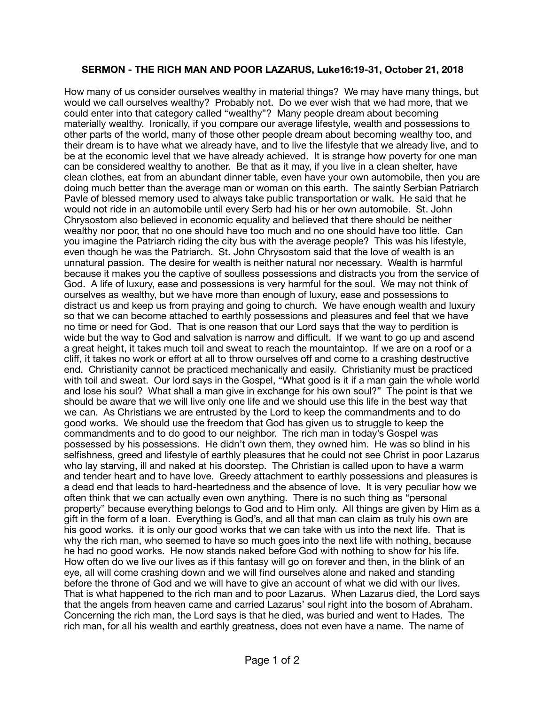## **SERMON - THE RICH MAN AND POOR LAZARUS, Luke16:19-31, October 21, 2018**

How many of us consider ourselves wealthy in material things? We may have many things, but would we call ourselves wealthy? Probably not. Do we ever wish that we had more, that we could enter into that category called "wealthy"? Many people dream about becoming materially wealthy. Ironically, if you compare our average lifestyle, wealth and possessions to other parts of the world, many of those other people dream about becoming wealthy too, and their dream is to have what we already have, and to live the lifestyle that we already live, and to be at the economic level that we have already achieved. It is strange how poverty for one man can be considered wealthy to another. Be that as it may, if you live in a clean shelter, have clean clothes, eat from an abundant dinner table, even have your own automobile, then you are doing much better than the average man or woman on this earth. The saintly Serbian Patriarch Pavle of blessed memory used to always take public transportation or walk. He said that he would not ride in an automobile until every Serb had his or her own automobile. St. John Chrysostom also believed in economic equality and believed that there should be neither wealthy nor poor, that no one should have too much and no one should have too little. Can you imagine the Patriarch riding the city bus with the average people? This was his lifestyle, even though he was the Patriarch. St. John Chrysostom said that the love of wealth is an unnatural passion. The desire for wealth is neither natural nor necessary. Wealth is harmful because it makes you the captive of soulless possessions and distracts you from the service of God. A life of luxury, ease and possessions is very harmful for the soul. We may not think of ourselves as wealthy, but we have more than enough of luxury, ease and possessions to distract us and keep us from praying and going to church. We have enough wealth and luxury so that we can become attached to earthly possessions and pleasures and feel that we have no time or need for God. That is one reason that our Lord says that the way to perdition is wide but the way to God and salvation is narrow and difficult. If we want to go up and ascend a great height, it takes much toil and sweat to reach the mountaintop. If we are on a roof or a cliff, it takes no work or effort at all to throw ourselves off and come to a crashing destructive end. Christianity cannot be practiced mechanically and easily. Christianity must be practiced with toil and sweat. Our lord says in the Gospel, "What good is it if a man gain the whole world and lose his soul? What shall a man give in exchange for his own soul?" The point is that we should be aware that we will live only one life and we should use this life in the best way that we can. As Christians we are entrusted by the Lord to keep the commandments and to do good works. We should use the freedom that God has given us to struggle to keep the commandments and to do good to our neighbor. The rich man in today's Gospel was possessed by his possessions. He didn't own them, they owned him. He was so blind in his selfishness, greed and lifestyle of earthly pleasures that he could not see Christ in poor Lazarus who lay starving, ill and naked at his doorstep. The Christian is called upon to have a warm and tender heart and to have love. Greedy attachment to earthly possessions and pleasures is a dead end that leads to hard-heartedness and the absence of love. It is very peculiar how we often think that we can actually even own anything. There is no such thing as "personal property" because everything belongs to God and to Him only. All things are given by Him as a gift in the form of a loan. Everything is God's, and all that man can claim as truly his own are his good works. it is only our good works that we can take with us into the next life. That is why the rich man, who seemed to have so much goes into the next life with nothing, because he had no good works. He now stands naked before God with nothing to show for his life. How often do we live our lives as if this fantasy will go on forever and then, in the blink of an eye, all will come crashing down and we will find ourselves alone and naked and standing before the throne of God and we will have to give an account of what we did with our lives. That is what happened to the rich man and to poor Lazarus. When Lazarus died, the Lord says that the angels from heaven came and carried Lazarus' soul right into the bosom of Abraham. Concerning the rich man, the Lord says is that he died, was buried and went to Hades. The rich man, for all his wealth and earthly greatness, does not even have a name. The name of